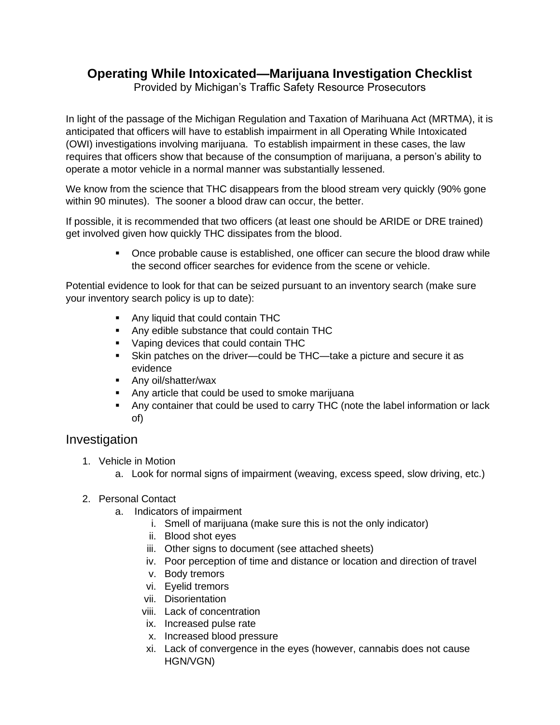## **Operating While Intoxicated—Marijuana Investigation Checklist**

Provided by Michigan's Traffic Safety Resource Prosecutors

In light of the passage of the Michigan Regulation and Taxation of Marihuana Act (MRTMA), it is anticipated that officers will have to establish impairment in all Operating While Intoxicated (OWI) investigations involving marijuana. To establish impairment in these cases, the law requires that officers show that because of the consumption of marijuana, a person's ability to operate a motor vehicle in a normal manner was substantially lessened.

We know from the science that THC disappears from the blood stream very quickly (90% gone within 90 minutes). The sooner a blood draw can occur, the better.

If possible, it is recommended that two officers (at least one should be ARIDE or DRE trained) get involved given how quickly THC dissipates from the blood.

> ▪ Once probable cause is established, one officer can secure the blood draw while the second officer searches for evidence from the scene or vehicle.

Potential evidence to look for that can be seized pursuant to an inventory search (make sure your inventory search policy is up to date):

- Any liquid that could contain THC
- Any edible substance that could contain THC
- Vaping devices that could contain THC
- Skin patches on the driver—could be THC—take a picture and secure it as evidence
- Any oil/shatter/wax
- Any article that could be used to smoke marijuana
- Any container that could be used to carry THC (note the label information or lack of)

## Investigation

- 1. Vehicle in Motion
	- a. Look for normal signs of impairment (weaving, excess speed, slow driving, etc.)
- 2. Personal Contact
	- a. Indicators of impairment
		- i. Smell of marijuana (make sure this is not the only indicator)
		- ii. Blood shot eyes
		- iii. Other signs to document (see attached sheets)
		- iv. Poor perception of time and distance or location and direction of travel
		- v. Body tremors
		- vi. Eyelid tremors
		- vii. Disorientation
		- viii. Lack of concentration
		- ix. Increased pulse rate
		- x. Increased blood pressure
		- xi. Lack of convergence in the eyes (however, cannabis does not cause HGN/VGN)